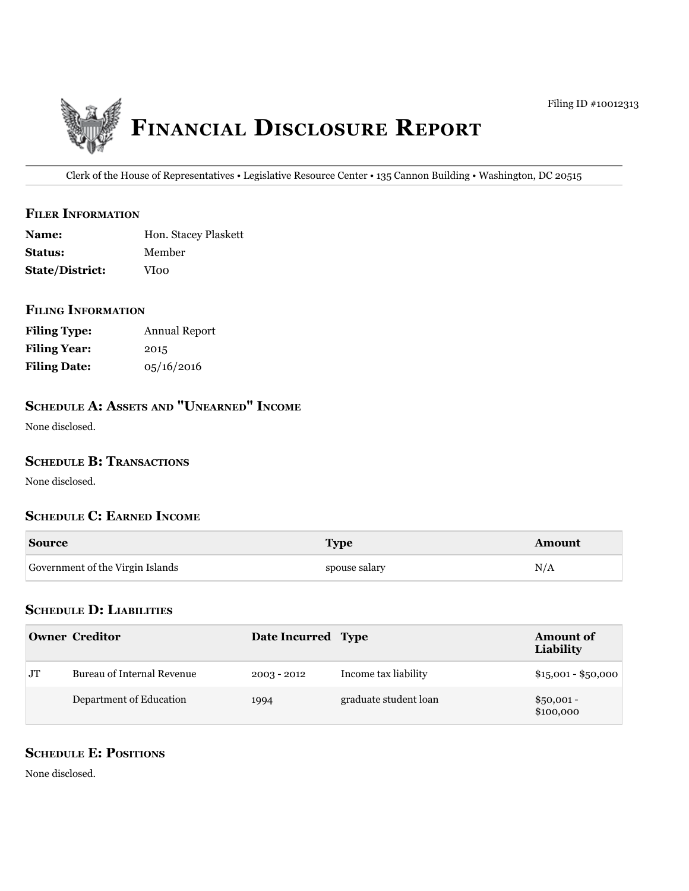

Clerk of the House of Representatives • Legislative Resource Center • 135 Cannon Building • Washington, DC 20515

#### **filer information**

| <b>Name:</b>           | Hon. Stacey Plaskett |
|------------------------|----------------------|
| <b>Status:</b>         | Member               |
| <b>State/District:</b> | VIoo                 |

#### **filing information**

| <b>Filing Type:</b> | Annual Report |
|---------------------|---------------|
| <b>Filing Year:</b> | 2015          |
| <b>Filing Date:</b> | 0.5/16/2016   |

# **ScHeDule a: aSSetS anD "unearneD" income**

None disclosed.

#### **SCHEDULE B: TRANSACTIONS**

None disclosed.

### **ScHeDule c: earneD income**

| <b>Source</b>                    | <b>Type</b>  | moun |
|----------------------------------|--------------|------|
| Government of the Virgin Islands | pouse salary |      |

### **ScHeDule D: liabilitieS**

|                | Owner Creditor             | Date Incurred Type |                       | <b>Amount of</b><br>Liability |
|----------------|----------------------------|--------------------|-----------------------|-------------------------------|
| J <sub>T</sub> | Bureau of Internal Revenue | $2003 - 2012$      | Income tax liability  | $$15,001 - $50,000$           |
|                | Department of Education    | 1994               | graduate student loan | $$50,001 -$<br>\$100,000      |

## **SCHEDULE E: POSITIONS**

None disclosed.